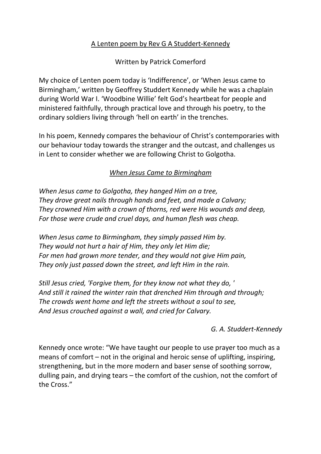## A Lenten poem by Rev G A Studdert-Kennedy

Written by Patrick Comerford

My choice of Lenten poem today is 'Indifference', or 'When Jesus came to Birmingham,' written by Geoffrey Studdert Kennedy while he was a chaplain during World War I. 'Woodbine Willie' felt God's heartbeat for people and ministered faithfully, through practical love and through his poetry, to the ordinary soldiers living through 'hell on earth' in the trenches.

In his poem, Kennedy compares the behaviour of Christ's contemporaries with our behaviour today towards the stranger and the outcast, and challenges us in Lent to consider whether we are following Christ to Golgotha.

## *When Jesus Came to Birmingham*

*When Jesus came to Golgotha, they hanged Him on a tree, They drove great nails through hands and feet, and made a Calvary; They crowned Him with a crown of thorns, red were His wounds and deep, For those were crude and cruel days, and human flesh was cheap.*

*When Jesus came to Birmingham, they simply passed Him by. They would not hurt a hair of Him, they only let Him die; For men had grown more tender, and they would not give Him pain, They only just passed down the street, and left Him in the rain.*

*Still Jesus cried, 'Forgive them, for they know not what they do, ' And still it rained the winter rain that drenched Him through and through; The crowds went home and left the streets without a soul to see, And Jesus crouched against a wall, and cried for Calvary.*

## *G. A. Studdert-Kennedy*

Kennedy once wrote: "We have taught our people to use prayer too much as a means of comfort – not in the original and heroic sense of uplifting, inspiring, strengthening, but in the more modern and baser sense of soothing sorrow, dulling pain, and drying tears – the comfort of the cushion, not the comfort of the Cross."